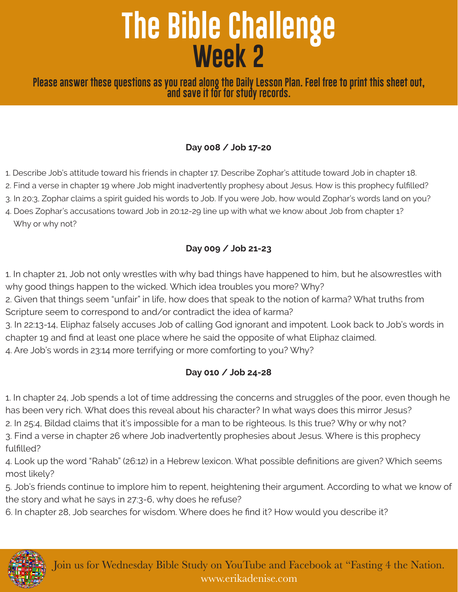# **The Bible Challenge Week 2**

**Please answer these questions as you read along the Daily Lesson Plan. Feel free to print this sheet out, and save it for for study records.**

### **Day 008 / Job 17-20**

- 1. Describe Job's attitude toward his friends in chapter 17. Describe Zophar's attitude toward Job in chapter 18.
- 2. Find a verse in chapter 19 where Job might inadvertently prophesy about Jesus. How is this prophecy fulfilled?
- 3. In 20:3, Zophar claims a spirit guided his words to Job. If you were Job, how would Zophar's words land on you?
- 4. Does Zophar's accusations toward Job in 20:12-29 line up with what we know about Job from chapter 1? Why or why not?

### **Day 009 / Job 21-23**

1. In chapter 21, Job not only wrestles with why bad things have happened to him, but he alsowrestles with why good things happen to the wicked. Which idea troubles you more? Why?

2. Given that things seem "unfair" in life, how does that speak to the notion of karma? What truths from Scripture seem to correspond to and/or contradict the idea of karma?

3. In 22:13-14, Eliphaz falsely accuses Job of calling God ignorant and impotent. Look back to Job's words in chapter 19 and find at least one place where he said the opposite of what Eliphaz claimed.

4. Are Job's words in 23:14 more terrifying or more comforting to you? Why?

### **Day 010 / Job 24-28**

1. In chapter 24, Job spends a lot of time addressing the concerns and struggles of the poor, even though he has been very rich. What does this reveal about his character? In what ways does this mirror Jesus?

2. In 25:4, Bildad claims that it's impossible for a man to be righteous. Is this true? Why or why not?

3. Find a verse in chapter 26 where Job inadvertently prophesies about Jesus. Where is this prophecy fulfilled?

4. Look up the word "Rahab" (26:12) in a Hebrew lexicon. What possible definitions are given? Which seems most likely?

5. Job's friends continue to implore him to repent, heightening their argument. According to what we know of the story and what he says in 27:3-6, why does he refuse?

6. In chapter 28, Job searches for wisdom. Where does he find it? How would you describe it?

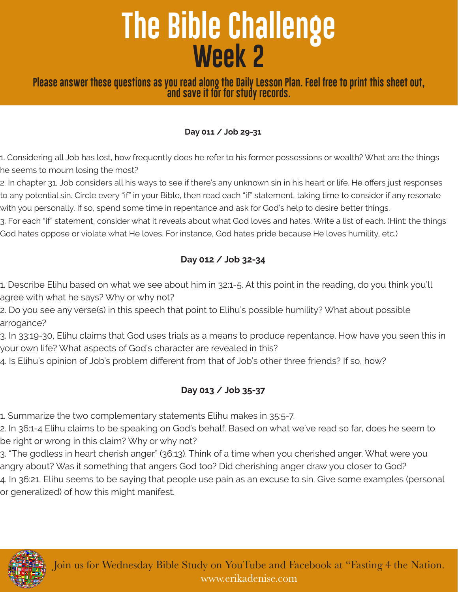# **The Bible Challenge Week 2**

**Please answer these questions as you read along the Daily Lesson Plan. Feel free to print this sheet out, and save it for for study records.**

#### **Day 011 / Job 29-31**

1. Considering all Job has lost, how frequently does he refer to his former possessions or wealth? What are the things he seems to mourn losing the most?

2. In chapter 31, Job considers all his ways to see if there's any unknown sin in his heart or life. He offers just responses to any potential sin. Circle every "if" in your Bible, then read each "if" statement, taking time to consider if any resonate with you personally. If so, spend some time in repentance and ask for God's help to desire better things.

3. For each "if" statement, consider what it reveals about what God loves and hates. Write a list of each. (Hint: the things God hates oppose or violate what He loves. For instance, God hates pride because He loves humility, etc.)

## **Day 012 / Job 32-34**

1. Describe Elihu based on what we see about him in 32:1-5. At this point in the reading, do you think you'll agree with what he says? Why or why not?

2. Do you see any verse(s) in this speech that point to Elihu's possible humility? What about possible arrogance?

3. In 33:19-30, Elihu claims that God uses trials as a means to produce repentance. How have you seen this in your own life? What aspects of God's character are revealed in this?

4. Is Elihu's opinion of Job's problem different from that of Job's other three friends? If so, how?

## **Day 013 / Job 35-37**

1. Summarize the two complementary statements Elihu makes in 35:5-7.

2. In 36:1-4 Elihu claims to be speaking on God's behalf. Based on what we've read so far, does he seem to be right or wrong in this claim? Why or why not?

3. "The godless in heart cherish anger" (36:13). Think of a time when you cherished anger. What were you angry about? Was it something that angers God too? Did cherishing anger draw you closer to God? 4. In 36:21, Elihu seems to be saying that people use pain as an excuse to sin. Give some examples (personal or generalized) of how this might manifest.